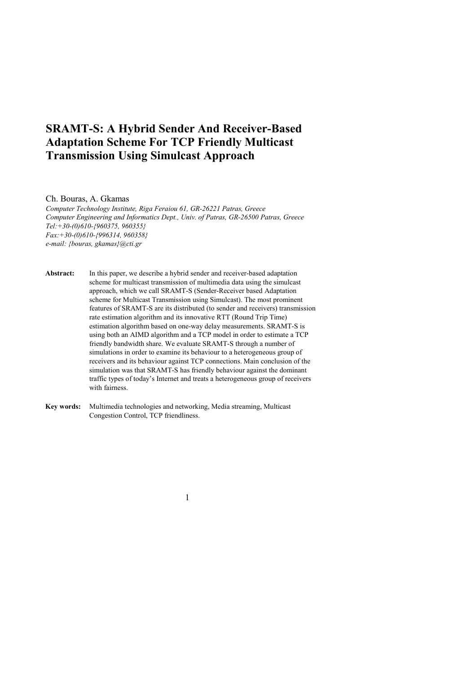Ch. Bouras, A. Gkamas

*Computer Technology Institute, Riga Feraiou 61, GR-26221 Patras, Greece Computer Engineering and Informatics Dept., Univ. of Patras, GR-26500 Patras, Greece Tel:+30-(0)610-{960375, 960355} Fax:+30-(0)610-{996314, 960358} e-mail: {bouras, gkamas}@cti.gr* 

**Abstract:** In this paper, we describe a hybrid sender and receiver-based adaptation scheme for multicast transmission of multimedia data using the simulcast approach, which we call SRAMT-S (Sender-Receiver based Adaptation scheme for Multicast Transmission using Simulcast). The most prominent features of SRAMT-S are its distributed (to sender and receivers) transmission rate estimation algorithm and its innovative RTT (Round Trip Time) estimation algorithm based on one-way delay measurements. SRAMT-S is using both an AIMD algorithm and a TCP model in order to estimate a TCP friendly bandwidth share. We evaluate SRAMT-S through a number of simulations in order to examine its behaviour to a heterogeneous group of receivers and its behaviour against TCP connections. Main conclusion of the simulation was that SRAMT-S has friendly behaviour against the dominant traffic types of today's Internet and treats a heterogeneous group of receivers with fairness.

**Key words:** Multimedia technologies and networking, Media streaming, Multicast Congestion Control, TCP friendliness.

1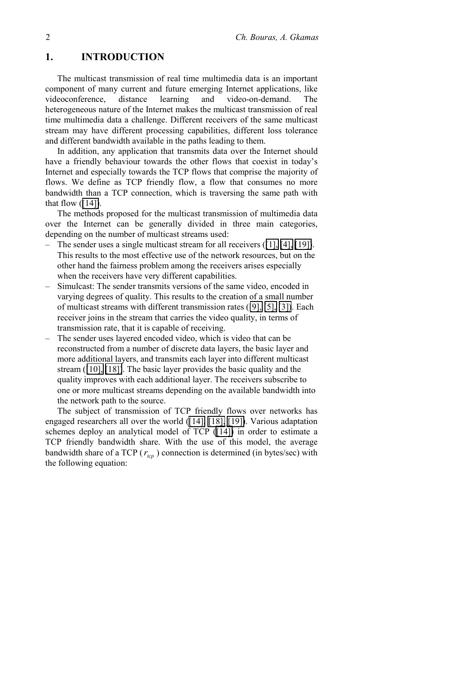# **1. INTRODUCTION**

The multicast transmission of real time multimedia data is an important component of many current and future emerging Internet applications, like videoconference, distance learning and video-on-demand. The heterogeneous nature of the Internet makes the multicast transmission of real time multimedia data a challenge. Different receivers of the same multicast stream may have different processing capabilities, different loss tolerance and different bandwidth available in the paths leading to them.

In addition, any application that transmits data over the Internet should have a friendly behaviour towards the other flows that coexist in today's Internet and especially towards the TCP flows that comprise the majority of flows. We define as TCP friendly flow, a flow that consumes no more bandwidth than a TCP connection, which is traversing the same path with that flow  $([14])$  $([14])$ .

The methods proposed for the multicast transmission of multimedia data over the Internet can be generally divided in three main categories, depending on the number of multicast streams used:

- The sender uses a single multicast stream for all receivers ([\[1\], \[4\],](#page-16-0) [\[19\]\)](#page-17-0). This results to the most effective use of the network resources, but on the other hand the fairness problem among the receivers arises especially when the receivers have very different capabilities.
- Simulcast: The sender transmits versions of the same video, encoded in varying degrees of quality. This results to the creation of a small number of multicast streams with different transmission rates ([\[9\],](#page-17-0) [\[5\], \[3\]\)](#page-16-0). Each receiver joins in the stream that carries the video quality, in terms of transmission rate, that it is capable of receiving.
- The sender uses layered encoded video, which is video that can be reconstructed from a number of discrete data layers, the basic layer and more additional layers, and transmits each layer into different multicast stream ([\[10\], \[18\]\)](#page-17-0). The basic layer provides the basic quality and the quality improves with each additional layer. The receivers subscribe to one or more multicast streams depending on the available bandwidth into the network path to the source.

The subject of transmission of TCP friendly flows over networks has engaged researchers all over the world [\(\[14\],](#page-17-0) [\[18\], \[19\]\)](#page-17-0). Various adaptation schemes deploy an analytical model of TCP [\(\[14\]\)](#page-17-0) in order to estimate a TCP friendly bandwidth share. With the use of this model, the average bandwidth share of a TCP  $(r_{tcn})$  connection is determined (in bytes/sec) with the following equation: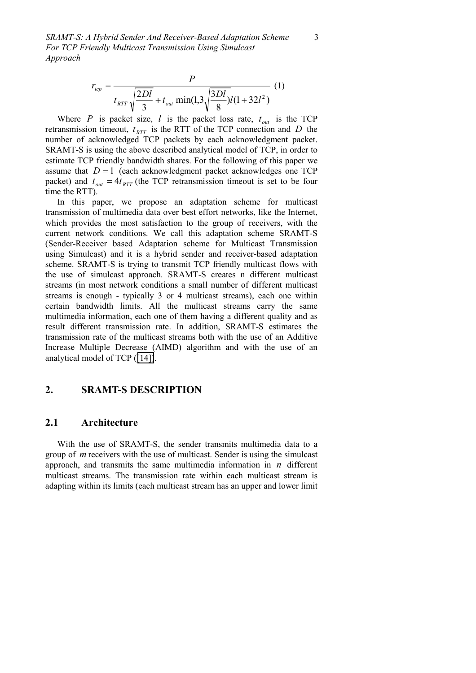$$
r_{top} = \frac{P}{t_{RTT}\sqrt{\frac{2DI}{3} + t_{out} \min(1,3\sqrt{\frac{3DI}{8}})l(1+32l^2)}}
$$
(1)

3

Where *P* is packet size, *l* is the packet loss rate,  $t_{out}$  is the TCP retransmission timeout,  $t_{RTT}$  is the RTT of the TCP connection and *D* the number of acknowledged TCP packets by each acknowledgment packet. SRAMT-S is using the above described analytical model of TCP, in order to estimate TCP friendly bandwidth shares. For the following of this paper we assume that  $D = 1$  (each acknowledgment packet acknowledges one TCP packet) and  $t_{out} = 4t_{RTT}$  (the TCP retransmission timeout is set to be four time the RTT).

In this paper, we propose an adaptation scheme for multicast transmission of multimedia data over best effort networks, like the Internet, which provides the most satisfaction to the group of receivers, with the current network conditions. We call this adaptation scheme SRAMT-S (Sender-Receiver based Adaptation scheme for Multicast Transmission using Simulcast) and it is a hybrid sender and receiver-based adaptation scheme. SRAMT-S is trying to transmit TCP friendly multicast flows with the use of simulcast approach. SRAMT-S creates n different multicast streams (in most network conditions a small number of different multicast streams is enough - typically 3 or 4 multicast streams), each one within certain bandwidth limits. All the multicast streams carry the same multimedia information, each one of them having a different quality and as result different transmission rate. In addition, SRAMT-S estimates the transmission rate of the multicast streams both with the use of an Additive Increase Multiple Decrease (AIMD) algorithm and with the use of an analytical model of TCP ([\[14\]\)](#page-17-0).

# **2. SRAMT-S DESCRIPTION**

#### **2.1 Architecture**

With the use of SRAMT-S, the sender transmits multimedia data to a group of *m* receivers with the use of multicast. Sender is using the simulcast approach, and transmits the same multimedia information in *n* different multicast streams. The transmission rate within each multicast stream is adapting within its limits (each multicast stream has an upper and lower limit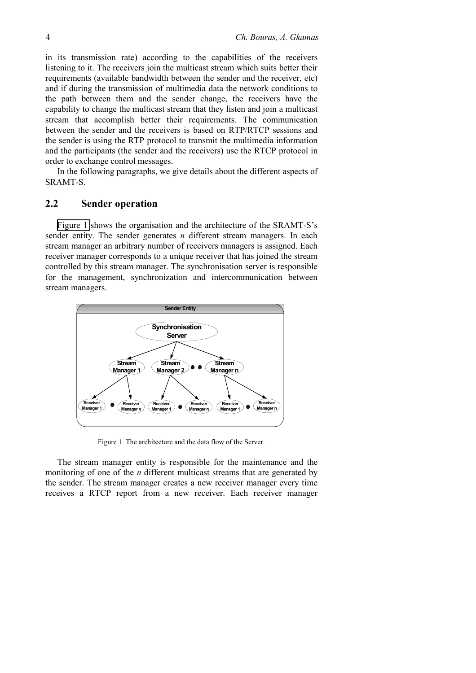in its transmission rate) according to the capabilities of the receivers listening to it. The receivers join the multicast stream which suits better their requirements (available bandwidth between the sender and the receiver, etc) and if during the transmission of multimedia data the network conditions to the path between them and the sender change, the receivers have the capability to change the multicast stream that they listen and join a multicast stream that accomplish better their requirements. The communication between the sender and the receivers is based on RTP/RTCP sessions and the sender is using the RTP protocol to transmit the multimedia information and the participants (the sender and the receivers) use the RTCP protocol in order to exchange control messages.

In the following paragraphs, we give details about the different aspects of SRAMT-S.

#### **2.2 Sender operation**

Figure 1 shows the organisation and the architecture of the SRAMT-S's sender entity. The sender generates *n* different stream managers. In each stream manager an arbitrary number of receivers managers is assigned. Each receiver manager corresponds to a unique receiver that has joined the stream controlled by this stream manager. The synchronisation server is responsible for the management, synchronization and intercommunication between stream managers.



Figure 1. The architecture and the data flow of the Server.

The stream manager entity is responsible for the maintenance and the monitoring of one of the *n* different multicast streams that are generated by the sender. The stream manager creates a new receiver manager every time receives a RTCP report from a new receiver. Each receiver manager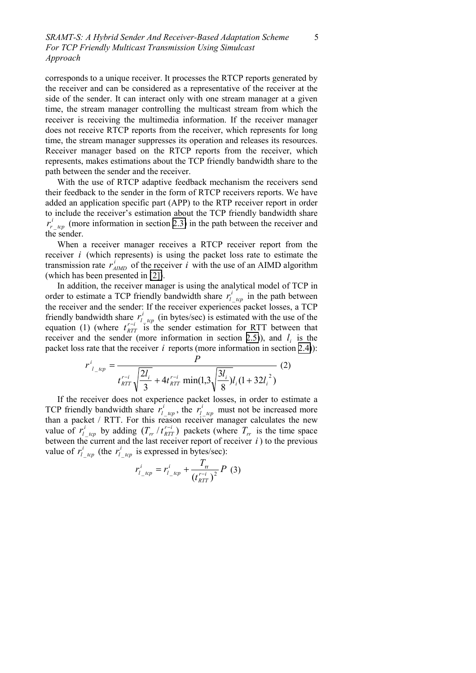corresponds to a unique receiver. It processes the RTCP reports generated by the receiver and can be considered as a representative of the receiver at the side of the sender. It can interact only with one stream manager at a given time, the stream manager controlling the multicast stream from which the receiver is receiving the multimedia information. If the receiver manager does not receive RTCP reports from the receiver, which represents for long time, the stream manager suppresses its operation and releases its resources. Receiver manager based on the RTCP reports from the receiver, which represents, makes estimations about the TCP friendly bandwidth share to the path between the sender and the receiver.

With the use of RTCP adaptive feedback mechanism the receivers send their feedback to the sender in the form of RTCP receivers reports. We have added an application specific part (APP) to the RTP receiver report in order to include the receiver's estimation about the TCP friendly bandwidth share  $r_{r_{\text{top}}}^{i}$  (more information in section [2.3\)](#page-5-0) in the path between the receiver and the sender.

When a receiver manager receives a RTCP receiver report from the receiver *i* (which represents) is using the packet loss rate to estimate the transmission rate  $r_{\text{AIMD}}^i$  of the receiver *i* with the use of an AIMD algorithm (which has been presented in [\[2\]\)](#page-16-0).

In addition, the receiver manager is using the analytical model of TCP in order to estimate a TCP friendly bandwidth share  $r_i^i_{top}$  in the path between the receiver and the sender: If the receiver experiences packet losses, a TCP friendly bandwidth share  $r_i^i_{top}$  (in bytes/sec) is estimated with the use of the equation (1) (where  $t_{RTT}^{r-i}$  is the sender estimation for RTT between that receiver and the sender (more information in section [2.5\)](#page-7-0)), and  $l_i$  is the packet loss rate that the receiver *i* reports (more information in section [2.4\)](#page-7-0)):

$$
r^{i}_{l\_top} = \frac{P}{t_{RTT}^{r-i} \sqrt{\frac{2l_i}{3} + 4t_{RTT}^{r-i} \min(1,3\sqrt{\frac{3l_i}{8}})l_i(1+32l_i^2)}}
$$
(2)

If the receiver does not experience packet losses, in order to estimate a TCP friendly bandwidth share  $r_i^i$   $_{top}$ , the  $r_i^i$   $_{top}$  must not be increased more than a packet / RTT. For this reason receiver manager calculates the new value of  $r_{l\_top}^i$  by adding  $(T_{rr}/t_{RTT}^{r-i})$  packets (where  $T_{rr}$  is the time space between the current and the last receiver report of receiver  $i$ ) to the previous value of  $r_l^i_{top}$  (the  $r_l^i_{top}$  is expressed in bytes/sec):

$$
r_{l\_top}^{i} = r_{l\_top}^{i} + \frac{T_{rr}}{(t_{RTT}^{r-i})^2} P (3)
$$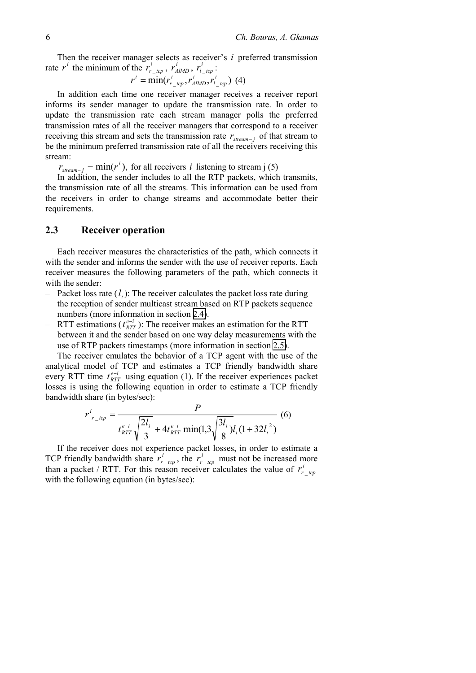<span id="page-5-0"></span>Then the receiver manager selects as receiver's *i* preferred transmission rate *r*<sup>*i*</sup> the minimum of the  $r_{r\_top}^i$ ,  $r_{AIMD}^i$ ,  $r_{l\_top}^i$ ;

$$
r^{i} = \min(r_{r\_top}^{i}, r_{AIMD}^{i}, r_{l\_top}^{i})
$$
 (4)

In addition each time one receiver manager receives a receiver report informs its sender manager to update the transmission rate. In order to update the transmission rate each stream manager polls the preferred transmission rates of all the receiver managers that correspond to a receiver receiving this stream and sets the transmission rate  $r_{stream-j}$  of that stream to be the minimum preferred transmission rate of all the receivers receiving this stream:

 $r_{\text{stream}-j} = \min(r^i)$ , for all receivers *i* listening to stream j (5)

In addition, the sender includes to all the RTP packets, which transmits, the transmission rate of all the streams. This information can be used from the receivers in order to change streams and accommodate better their requirements.

#### **2.3 Receiver operation**

Each receiver measures the characteristics of the path, which connects it with the sender and informs the sender with the use of receiver reports. Each receiver measures the following parameters of the path, which connects it with the sender:

- $\blacksquare$  Packet loss rate  $(l_i)$ : The receiver calculates the packet loss rate during the reception of sender multicast stream based on RTP packets sequence numbers (more information in section [2.4\)](#page-7-0).
- $-$  RTT estimations ( $t_{RTT}^{e-i}$ ): The receiver makes an estimation for the RTT between it and the sender based on one way delay measurements with the use of RTP packets timestamps (more information in section [2.5\)](#page-7-0).

The receiver emulates the behavior of a TCP agent with the use of the analytical model of TCP and estimates a TCP friendly bandwidth share every RTT time  $t_{RTT}^{e-i}$  using equation (1). If the receiver experiences packet losses is using the following equation in order to estimate a TCP friendly bandwidth share (in bytes/sec):

$$
r_{r\_top}^{i} = \frac{P}{t_{RTT}^{e-i} \sqrt{\frac{2l_i}{3} + 4t_{RTT}^{e-i} \min(1,3\sqrt{\frac{3l_i}{8}})l_i(1+32l_i^2)}}
$$
(6)

If the receiver does not experience packet losses, in order to estimate a TCP friendly bandwidth share  $r_r^i$   $_{top}$ , the  $r_r^i$   $_{top}$  must not be increased more than a packet / RTT. For this reason receiver calculates the value of  $r_{r}^{i}$   $_{top}$ with the following equation (in bytes/sec):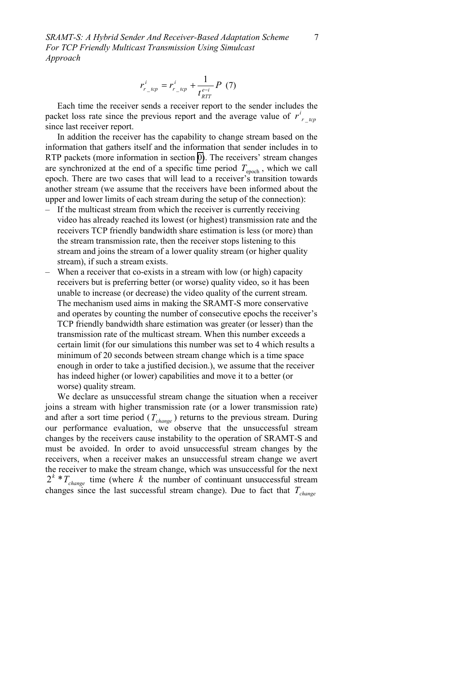$$
r_{r\_top}^i = r_{r\_top}^i + \frac{1}{t_{RTT}^{e-i}} P (7)
$$

Each time the receiver sends a receiver report to the sender includes the packet loss rate since the previous report and the average value of  $r_{r}^{i}$   $_{top}$ since last receiver report.

In addition the receiver has the capability to change stream based on the information that gathers itself and the information that sender includes in to RTP packets (more information in section [0\)](#page-9-0). The receivers' stream changes are synchronized at the end of a specific time period  $T_{\text{enoch}}$ , which we call epoch. There are two cases that will lead to a receiver's transition towards another stream (we assume that the receivers have been informed about the upper and lower limits of each stream during the setup of the connection):

- If the multicast stream from which the receiver is currently receiving video has already reached its lowest (or highest) transmission rate and the receivers TCP friendly bandwidth share estimation is less (or more) than the stream transmission rate, then the receiver stops listening to this stream and joins the stream of a lower quality stream (or higher quality stream), if such a stream exists.
- When a receiver that co-exists in a stream with low (or high) capacity receivers but is preferring better (or worse) quality video, so it has been unable to increase (or decrease) the video quality of the current stream. The mechanism used aims in making the SRAMT-S more conservative and operates by counting the number of consecutive epochs the receiver's TCP friendly bandwidth share estimation was greater (or lesser) than the transmission rate of the multicast stream. When this number exceeds a certain limit (for our simulations this number was set to 4 which results a minimum of 20 seconds between stream change which is a time space enough in order to take a justified decision.), we assume that the receiver has indeed higher (or lower) capabilities and move it to a better (or worse) quality stream.

We declare as unsuccessful stream change the situation when a receiver joins a stream with higher transmission rate (or a lower transmission rate) and after a sort time period  $(T_{change})$  returns to the previous stream. During our performance evaluation, we observe that the unsuccessful stream changes by the receivers cause instability to the operation of SRAMT-S and must be avoided. In order to avoid unsuccessful stream changes by the receivers, when a receiver makes an unsuccessful stream change we avert the receiver to make the stream change, which was unsuccessful for the next  $2^k * T_{change}$  time (where *k* the number of continuant unsuccessful stream changes since the last successful stream change). Due to fact that  $T_{change}$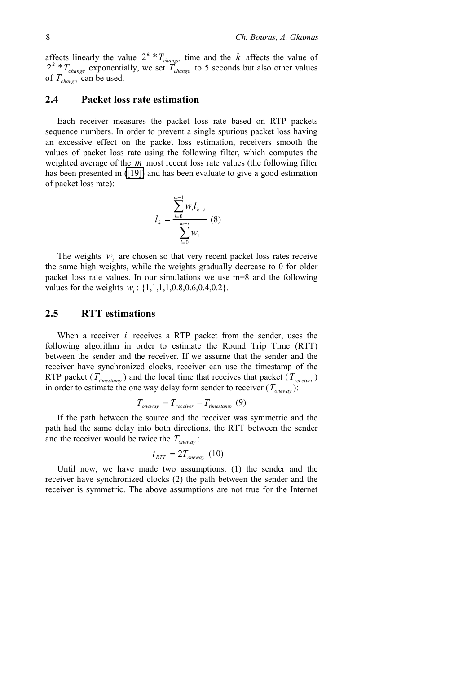<span id="page-7-0"></span>affects linearly the value  $2^k * T_{change}$  time and the *k* affects the value of  $2^k * T_{change}$  exponentially, we set  $T_{change}$  to 5 seconds but also other values of  $T_{change}$  can be used.

#### **2.4 Packet loss rate estimation**

Each receiver measures the packet loss rate based on RTP packets sequence numbers. In order to prevent a single spurious packet loss having an excessive effect on the packet loss estimation, receivers smooth the values of packet loss rate using the following filter, which computes the weighted average of the *m* most recent loss rate values (the following filter has been presented in [\(\[19\]\)](#page-17-0) and has been evaluate to give a good estimation of packet loss rate):

$$
l_{k} = \frac{\sum_{i=0}^{m-1} w_{i} l_{k-i}}{\sum_{i=0}^{m-i} w_{i}} (8)
$$

The weights  $w_i$  are chosen so that very recent packet loss rates receive the same high weights, while the weights gradually decrease to 0 for older packet loss rate values. In our simulations we use m=8 and the following values for the weights  $w_i$ : {1,1,1,1,0.8,0.6,0.4,0.2}.

# **2.5 RTT estimations**

When a receiver *i* receives a RTP packet from the sender, uses the following algorithm in order to estimate the Round Trip Time (RTT) between the sender and the receiver. If we assume that the sender and the receiver have synchronized clocks, receiver can use the timestamp of the RTP packet ( $T_{times tamp}$ ) and the local time that receives that packet ( $T_{receiver}$ ) in order to estimate the one way delay form sender to receiver  $(T_{\text{oneway}})$ :

$$
T_{oneway} = T_{receiver} - T_{time stamp} (9)
$$

If the path between the source and the receiver was symmetric and the path had the same delay into both directions, the RTT between the sender and the receiver would be twice the  $T_{\text{one-way}}$ :

$$
t_{RTT} = 2T_{oneway} (10)
$$

Until now, we have made two assumptions: (1) the sender and the receiver have synchronized clocks (2) the path between the sender and the receiver is symmetric. The above assumptions are not true for the Internet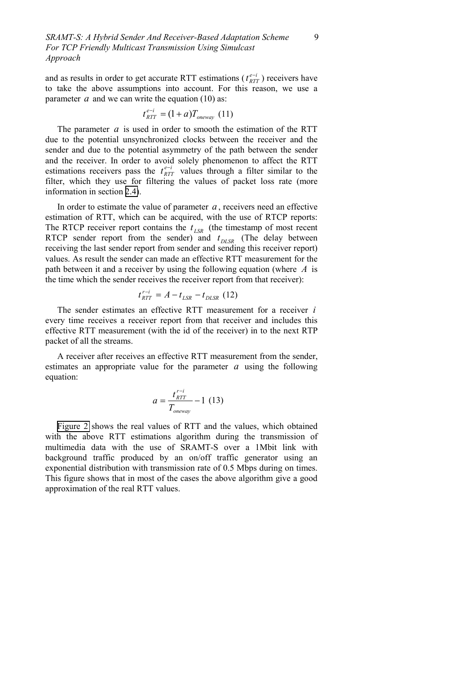9

and as results in order to get accurate RTT estimations ( $t_{RTT}^{e-i}$ ) receivers have to take the above assumptions into account. For this reason, we use a parameter  $a$  and we can write the equation (10) as:

$$
t_{RTT}^{e-i} = (1+a)T_{oneway} (11)
$$

The parameter *a* is used in order to smooth the estimation of the RTT due to the potential unsynchronized clocks between the receiver and the sender and due to the potential asymmetry of the path between the sender and the receiver. In order to avoid solely phenomenon to affect the RTT estimations receivers pass the  $t_{RTT}^{e-i}$  values through a filter similar to the filter, which they use for filtering the values of packet loss rate (more information in section [2.4\)](#page-7-0).

In order to estimate the value of parameter  $a$ , receivers need an effective estimation of RTT, which can be acquired, with the use of RTCP reports: The RTCP receiver report contains the  $t_{LSR}$  (the timestamp of most recent RTCP sender report from the sender) and  $t_{DLSR}$  (The delay between receiving the last sender report from sender and sending this receiver report) values. As result the sender can made an effective RTT measurement for the path between it and a receiver by using the following equation (where *A* is the time which the sender receives the receiver report from that receiver):

$$
t_{\text{RTT}}^{r-i} = A - t_{LSR} - t_{\text{DLSR}} \ (12)
$$

The sender estimates an effective RTT measurement for a receiver *i* every time receives a receiver report from that receiver and includes this effective RTT measurement (with the id of the receiver) in to the next RTP packet of all the streams.

A receiver after receives an effective RTT measurement from the sender, estimates an appropriate value for the parameter *a* using the following equation:

$$
a = \frac{t_{RTT}^{r-i}}{T_{oneway}} - 1 \tag{13}
$$

[Figure 2](#page-9-0) shows the real values of RTT and the values, which obtained with the above RTT estimations algorithm during the transmission of multimedia data with the use of SRAMT-S over a 1Mbit link with background traffic produced by an on/off traffic generator using an exponential distribution with transmission rate of 0.5 Mbps during on times. This figure shows that in most of the cases the above algorithm give a good approximation of the real RTT values.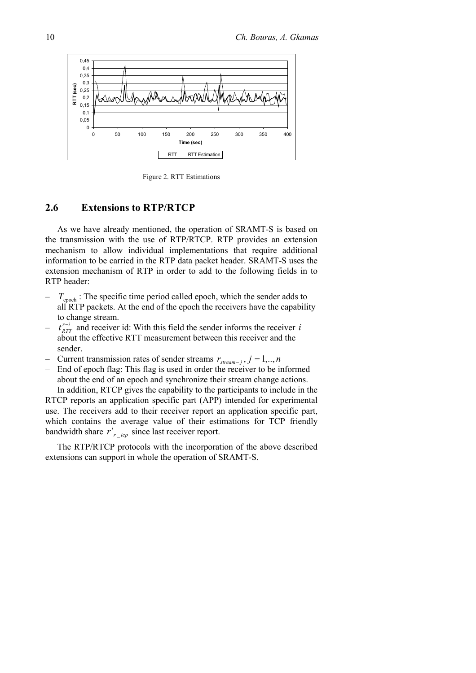<span id="page-9-0"></span>

Figure 2. RTT Estimations

### **2.6 Extensions to RTP/RTCP**

As we have already mentioned, the operation of SRAMT-S is based on the transmission with the use of RTP/RTCP. RTP provides an extension mechanism to allow individual implementations that require additional information to be carried in the RTP data packet header. SRAMT-S uses the extension mechanism of RTP in order to add to the following fields in to RTP header:

- $T_{\text{epoch}}$ : The specific time period called epoch, which the sender adds to all RTP packets. At the end of the epoch the receivers have the capability to change stream.
- $t_{RTT}^{r-i}$  and receiver id: With this field the sender informs the receiver *i* about the effective RTT measurement between this receiver and the sender.
- Current transmission rates of sender streams *rstream*<sup>−</sup> *<sup>j</sup>* , *j* = 1,.., *n*
- End of epoch flag: This flag is used in order the receiver to be informed about the end of an epoch and synchronize their stream change actions. In addition, RTCP gives the capability to the participants to include in the

RTCP reports an application specific part (APP) intended for experimental use. The receivers add to their receiver report an application specific part, which contains the average value of their estimations for TCP friendly bandwidth share  $r^i_{\text{r} \text{ top}}$  since last receiver report.

The RTP/RTCP protocols with the incorporation of the above described extensions can support in whole the operation of SRAMT-S.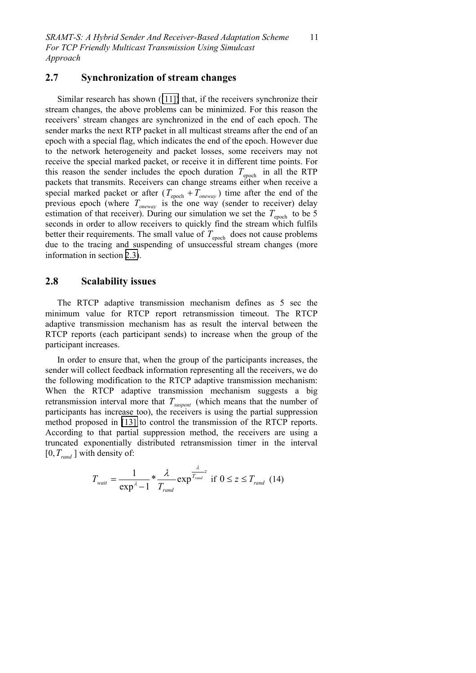#### **2.7 Synchronization of stream changes**

Similar research has shown ([\[11\]\)](#page-17-0) that, if the receivers synchronize their stream changes, the above problems can be minimized. For this reason the receivers' stream changes are synchronized in the end of each epoch. The sender marks the next RTP packet in all multicast streams after the end of an epoch with a special flag, which indicates the end of the epoch. However due to the network heterogeneity and packet losses, some receivers may not receive the special marked packet, or receive it in different time points. For this reason the sender includes the epoch duration  $T_{\text{enoch}}$  in all the RTP packets that transmits. Receivers can change streams either when receive a special marked packet or after  $(T_{\text{epoch}} + \tilde{T}_{\text{oneway}})$  time after the end of the previous epoch (where *Toneway* is the one way (sender to receiver) delay estimation of that receiver). During our simulation we set the  $T_{\text{enoch}}$  to be 5 seconds in order to allow receivers to quickly find the stream which fulfils better their requirements. The small value of  $T_{\text{epoch}}$  does not cause problems due to the tracing and suspending of unsuccessful stream changes (more information in section [2.3\)](#page-5-0).

#### **2.8 Scalability issues**

The RTCP adaptive transmission mechanism defines as 5 sec the minimum value for RTCP report retransmission timeout. The RTCP adaptive transmission mechanism has as result the interval between the RTCP reports (each participant sends) to increase when the group of the participant increases.

In order to ensure that, when the group of the participants increases, the sender will collect feedback information representing all the receivers, we do the following modification to the RTCP adaptive transmission mechanism: When the RTCP adaptive transmission mechanism suggests a big retransmission interval more that  $T_{\text{subpent}}$  (which means that the number of participants has increase too), the receivers is using the partial suppression method proposed in [\[13\]](#page-17-0) to control the transmission of the RTCP reports. According to that partial suppression method, the receivers are using a truncated exponentially distributed retransmission timer in the interval  $[0, T_{rand}]$  with density of:

$$
T_{wait} = \frac{1}{\exp^{\lambda} - 1} * \frac{\lambda}{T_{rand}} \exp^{\frac{\lambda}{T_{rand}} z} \text{ if } 0 \le z \le T_{rand} \tag{14}
$$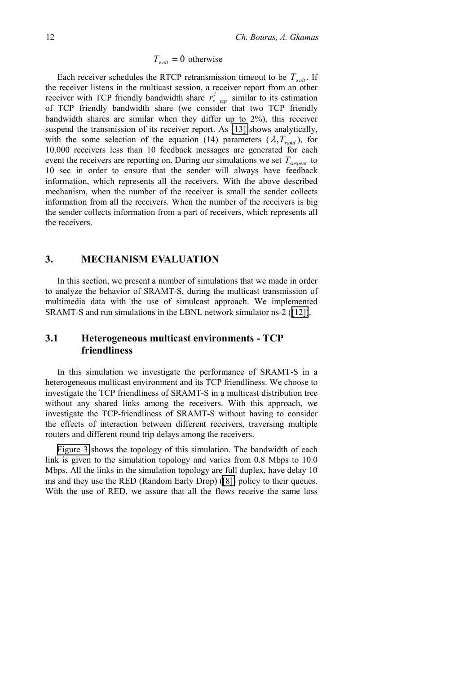$$
T_{wait} = 0 \text{ otherwise}
$$

Each receiver schedules the RTCP retransmission timeout to be  $T_{wait}$ . If the receiver listens in the multicast session, a receiver report from an other receiver with TCP friendly bandwidth share  $r_i^i_{\text{top}}$  similar to its estimation of TCP friendly bandwidth share (we consider that two TCP friendly bandwidth shares are similar when they differ up to 2%), this receiver suspend the transmission of its receiver report. As [\[13\]](#page-17-0) shows analytically, with the some selection of the equation (14) parameters  $(\lambda, T_{rand})$ , for 10.000 receivers less than 10 feedback messages are generated for each event the receivers are reporting on. During our simulations we set  $T_{\text{svonent}}$  to 10 sec in order to ensure that the sender will always have feedback information, which represents all the receivers. With the above described mechanism, when the number of the receiver is small the sender collects information from all the receivers. When the number of the receivers is big the sender collects information from a part of receivers, which represents all the receivers.

### **3. MECHANISM EVALUATION**

In this section, we present a number of simulations that we made in order to analyze the behavior of SRAMT-S, during the multicast transmission of multimedia data with the use of simulcast approach. We implemented SRAMT-S and run simulations in the LBNL network simulator ns-2 ([\[12\]\)](#page-17-0).

### **3.1 Heterogeneous multicast environments - TCP friendliness**

In this simulation we investigate the performance of SRAMT-S in a heterogeneous multicast environment and its TCP friendliness. We choose to investigate the TCP friendliness of SRAMT-S in a multicast distribution tree without any shared links among the receivers. With this approach, we investigate the TCP-friendliness of SRAMT-S without having to consider the effects of interaction between different receivers, traversing multiple routers and different round trip delays among the receivers.

[Figure 3](#page-12-0) shows the topology of this simulation. The bandwidth of each link is given to the simulation topology and varies from 0.8 Mbps to 10.0 Mbps. All the links in the simulation topology are full duplex, have delay 10 ms and they use the RED (Random Early Drop) [\(\[8\]\)](#page-17-0) policy to their queues. With the use of RED, we assure that all the flows receive the same loss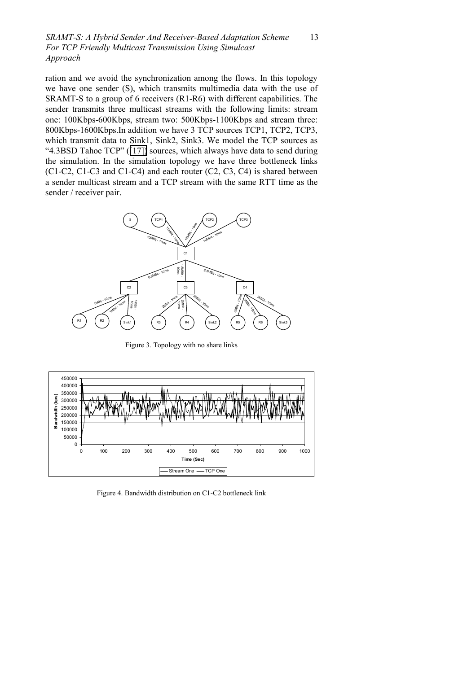<span id="page-12-0"></span>ration and we avoid the synchronization among the flows. In this topology we have one sender (S), which transmits multimedia data with the use of SRAMT-S to a group of 6 receivers (R1-R6) with different capabilities. The sender transmits three multicast streams with the following limits: stream one: 100Kbps-600Kbps, stream two: 500Kbps-1100Kbps and stream three: 800Kbps-1600Kbps.In addition we have 3 TCP sources TCP1, TCP2, TCP3, which transmit data to Sink1, Sink2, Sink3. We model the TCP sources as "4.3BSD Tahoe TCP" ([\[17\]\)](#page-17-0) sources, which always have data to send during the simulation. In the simulation topology we have three bottleneck links (C1-C2, C1-C3 and C1-C4) and each router (C2, C3, C4) is shared between a sender multicast stream and a TCP stream with the same RTT time as the sender / receiver pair.



Figure 3. Topology with no share links



Figure 4. Bandwidth distribution on C1-C2 bottleneck link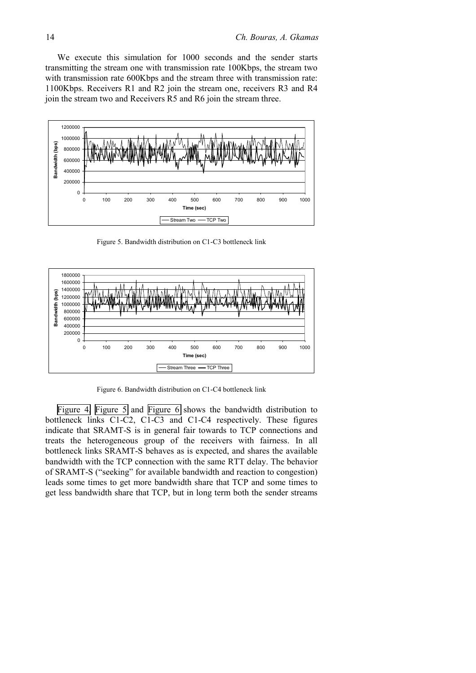We execute this simulation for 1000 seconds and the sender starts transmitting the stream one with transmission rate 100Kbps, the stream two with transmission rate 600Kbps and the stream three with transmission rate: 1100Kbps. Receivers R1 and R2 join the stream one, receivers R3 and R4 join the stream two and Receivers R5 and R6 join the stream three.



Figure 5. Bandwidth distribution on C1-C3 bottleneck link



Figure 6. Bandwidth distribution on C1-C4 bottleneck link

[Figure 4,](#page-12-0) Figure 5 and Figure 6 shows the bandwidth distribution to bottleneck links C1-C2, C1-C3 and C1-C4 respectively. These figures indicate that SRAMT-S is in general fair towards to TCP connections and treats the heterogeneous group of the receivers with fairness. In all bottleneck links SRAMT-S behaves as is expected, and shares the available bandwidth with the TCP connection with the same RTT delay. The behavior of SRAMT-S ("seeking" for available bandwidth and reaction to congestion) leads some times to get more bandwidth share that TCP and some times to get less bandwidth share that TCP, but in long term both the sender streams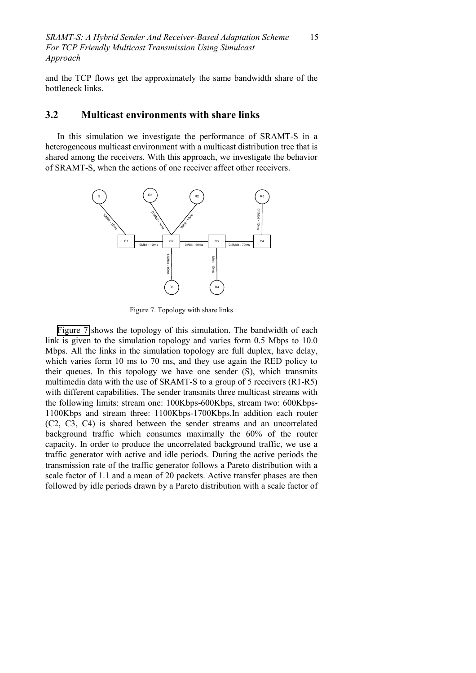and the TCP flows get the approximately the same bandwidth share of the bottleneck links.

#### **3.2 Multicast environments with share links**

In this simulation we investigate the performance of SRAMT-S in a heterogeneous multicast environment with a multicast distribution tree that is shared among the receivers. With this approach, we investigate the behavior of SRAMT-S, when the actions of one receiver affect other receivers.



Figure 7. Topology with share links

Figure 7 shows the topology of this simulation. The bandwidth of each link is given to the simulation topology and varies form 0.5 Mbps to 10.0 Mbps. All the links in the simulation topology are full duplex, have delay, which varies form 10 ms to 70 ms, and they use again the RED policy to their queues. In this topology we have one sender (S), which transmits multimedia data with the use of SRAMT-S to a group of 5 receivers (R1-R5) with different capabilities. The sender transmits three multicast streams with the following limits: stream one: 100Kbps-600Kbps, stream two: 600Kbps-1100Kbps and stream three: 1100Kbps-1700Kbps.In addition each router (C2, C3, C4) is shared between the sender streams and an uncorrelated background traffic which consumes maximally the 60% of the router capacity. In order to produce the uncorrelated background traffic, we use a traffic generator with active and idle periods. During the active periods the transmission rate of the traffic generator follows a Pareto distribution with a scale factor of 1.1 and a mean of 20 packets. Active transfer phases are then followed by idle periods drawn by a Pareto distribution with a scale factor of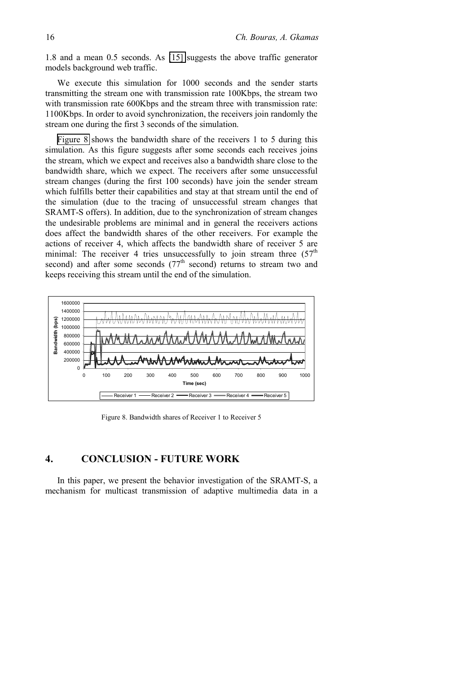1.8 and a mean 0.5 seconds. As [\[15\]](#page-17-0) suggests the above traffic generator models background web traffic.

We execute this simulation for 1000 seconds and the sender starts transmitting the stream one with transmission rate 100Kbps, the stream two with transmission rate 600Kbps and the stream three with transmission rate: 1100Kbps. In order to avoid synchronization, the receivers join randomly the stream one during the first 3 seconds of the simulation.

Figure 8 shows the bandwidth share of the receivers 1 to 5 during this simulation. As this figure suggests after some seconds each receives joins the stream, which we expect and receives also a bandwidth share close to the bandwidth share, which we expect. The receivers after some unsuccessful stream changes (during the first 100 seconds) have join the sender stream which fulfills better their capabilities and stay at that stream until the end of the simulation (due to the tracing of unsuccessful stream changes that SRAMT-S offers). In addition, due to the synchronization of stream changes the undesirable problems are minimal and in general the receivers actions does affect the bandwidth shares of the other receivers. For example the actions of receiver 4, which affects the bandwidth share of receiver 5 are minimal: The receiver 4 tries unsuccessfully to join stream three  $(57<sup>th</sup>$ second) and after some seconds  $(77<sup>th</sup>$  second) returns to stream two and keeps receiving this stream until the end of the simulation.



Figure 8. Bandwidth shares of Receiver 1 to Receiver 5

#### **4. CONCLUSION - FUTURE WORK**

In this paper, we present the behavior investigation of the SRAMT-S, a mechanism for multicast transmission of adaptive multimedia data in a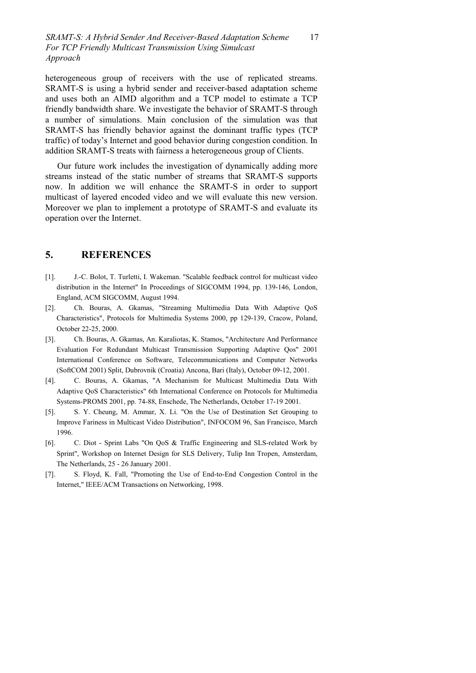<span id="page-16-0"></span>heterogeneous group of receivers with the use of replicated streams. SRAMT-S is using a hybrid sender and receiver-based adaptation scheme and uses both an AIMD algorithm and a TCP model to estimate a TCP friendly bandwidth share. We investigate the behavior of SRAMT-S through a number of simulations. Main conclusion of the simulation was that SRAMT-S has friendly behavior against the dominant traffic types (TCP traffic) of today's Internet and good behavior during congestion condition. In addition SRAMT-S treats with fairness a heterogeneous group of Clients.

Our future work includes the investigation of dynamically adding more streams instead of the static number of streams that SRAMT-S supports now. In addition we will enhance the SRAMT-S in order to support multicast of layered encoded video and we will evaluate this new version. Moreover we plan to implement a prototype of SRAMT-S and evaluate its operation over the Internet.

# **5. REFERENCES**

- [1]. J.-C. Bolot, T. Turletti, I. Wakeman. "Scalable feedback control for multicast video distribution in the Internet" In Proceedings of SIGCOMM 1994, pp. 139-146, London, England, ACM SIGCOMM, August 1994.
- [2]. Ch. Bouras, A. Gkamas, "Streaming Multimedia Data With Adaptive QoS Characteristics", Protocols for Multimedia Systems 2000, pp 129-139, Cracow, Poland, October 22-25, 2000.
- [3]. Ch. Bouras, A. Gkamas, An. Karaliotas, K. Stamos, "Architecture And Performance Evaluation For Redundant Multicast Transmission Supporting Adaptive Qos" 2001 International Conference on Software, Telecommunications and Computer Networks (SoftCOM 2001) Split, Dubrovnik (Croatia) Ancona, Bari (Italy), October 09-12, 2001.
- [4]. C. Bouras, A. Gkamas, "A Mechanism for Multicast Multimedia Data With Adaptive QoS Characteristics" 6th International Conference on Protocols for Multimedia Systems-PROMS 2001, pp. 74-88, Enschede, The Netherlands, October 17-19 2001.
- [5]. S. Y. Cheung, M. Ammar, X. Li. "On the Use of Destination Set Grouping to Improve Fariness in Multicast Video Distribution", INFOCOM 96, San Francisco, March 1996.
- [6]. C. Diot Sprint Labs "On QoS & Traffic Engineering and SLS-related Work by Sprint", Workshop on Internet Design for SLS Delivery, Tulip Inn Tropen, Amsterdam, The Netherlands, 25 - 26 January 2001.
- [7]. S. Floyd, K. Fall, "Promoting the Use of End-to-End Congestion Control in the Internet," IEEE/ACM Transactions on Networking, 1998.